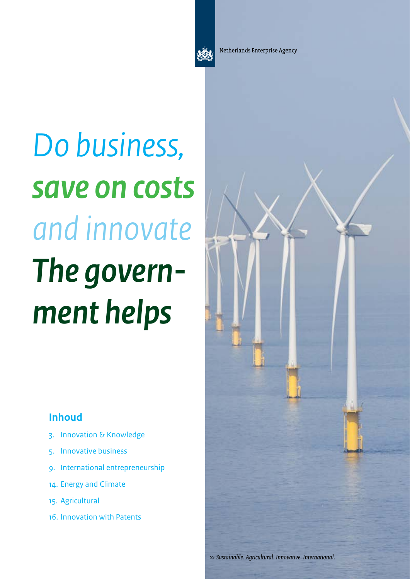

Netherlands Enterprise Agency

# *Do business, save on costs and innovate The government helps*

### **Inhoud**

- [3. Innovation & Knowledge](#page-2-0)
- 5. [Innovative business](#page-4-0)
- [9](#page-8-0). [International entrepreneurship](#page-8-0)
- [1](#page-8-0)4. [Energy](#page-13-0) and Climate
- 15. [Agri](#page-14-0)cultural
- 16. [Innovation with Patents](#page-15-0)

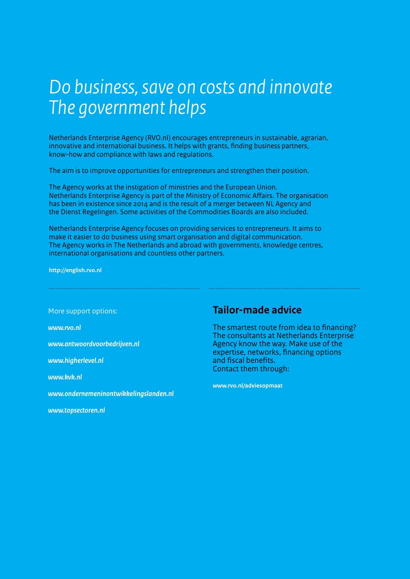### *Do business, save on costs and innovate The government helps*

Netherlands Enterprise Agency (RVO.nl) encourages entrepreneurs in sustainable, agrarian, innovative and international business. It helps with grants, finding business partners, know-how and compliance with laws and regulations.

The aim is to improve opportunities for entrepreneurs and strengthen their position.

The Agency works at the instigation of ministries and the European Union. Netherlands Enterprise Agency is part of the Ministry of Economic Affairs. The organisation has been in existence since 2014 and is the result of a merger between NL Agency and the Dienst Regelingen. Some activities of the Commodities Boards are also included.

Netherlands Enterprise Agency focuses on providing services to entrepreneurs. It aims to make it easier to do business using smart organisation and digital communication. The Agency works in The Netherlands and abroad with governments, knowledge centres, international organisations and countless other partners.

......................................................................................... .........................................................................................

**http://english.rvo.nl** 

More support options:

*www.rvo.nl* 

*[www.antwoordvoorbedrijven.nl](http://www.antwoordvoorbedrijven.nl/)* 

*<www.higherlevel.nl>* 

*<www.kvk.nl>* 

*<www.ondernemeninontwikkelingslanden.nl>* 

*<www.topsectoren.nl>*

### **Tailor-made advice**

The smartest route from idea to financing? The consultants at Netherlands Enterprise Agency know the way. Make use of the expertise, networks, financing options and fiscal benefits. Contact them through:

**[www.rvo.nl/adviesopmaat](www.agentschapnl.nl/adviesopmaat)**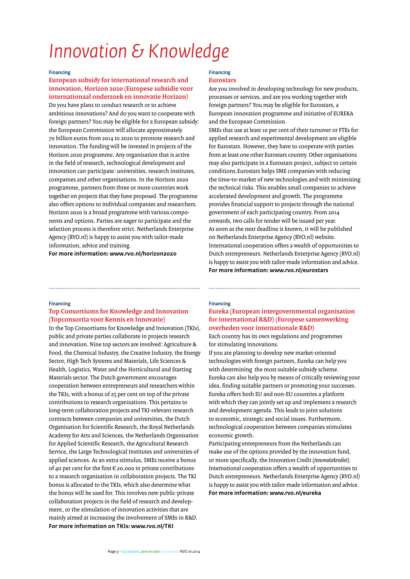### <span id="page-2-0"></span>*Innovation & Knowledge*

#### **Financing**

**European subsidy for international research and innovation, Horizon 2020 (Europese subsidie voor internationaal onderzoek en innovatie Horizon)** Do you have plans to conduct research or to achieve ambitious innovations? And do you want to cooperate with foreign partners? You may be eligible for a European subsidy: the European Commission will allocate approximately 70 billion euros from 2014 to 2020 to promote research and innovation. The funding will be invested in projects of the Horizon 2020 programme. Any organisation that is active in the field of research, technological development and innovation can participate: universities, research institutes, companies and other organisations. In the Horizon 2020 programme, partners from three or more countries work together on projects that they have proposed. The programme also offers options to individual companies and researchers. Horizon 2020 is a broad programme with various components and options. Parties are eager to participate and the selection process is therefore strict. Netherlands Enterprise Agency (RVO.nl) is happy to assist you with tailor-made information, advice and training.

**For more information: www.rvo.nl/horizon2020**

#### **Financing Eurostars**

......................................................................................... .........................................................................................

Are you involved in developing technology for new products, processes or services, and are you working together with foreign partners? You may be eligible for Eurostars, a European innovation programme and initiative of EUREKA and the European Commission.

SMEs that use at least 10 per cent of their turnover or FTEs for applied research and experimental development are eligible for Eurostars. However, they have to cooperate with parties from at least one other Eurostars country. Other organisations may also participate in a Eurostars project, subject to certain conditions.Eurostars helps SME companies with reducing the time-to-market of new technologies and with minimising the technical risks. This enables small companies to achieve accelerated development and growth. The programme provides financial support to projects through the national government of each participating country. From 2014 onwards, two calls for tender will be issued per year. As soon as the next deadline is known, it will be published on Netherlands Enterprise Agency (RVO.nl) website. International cooperation offers a wealth of opportunities to Dutch entrepreneurs. Netherlands Enterprise Agency (RVO.nl) is happy to assist you with tailor-made information and advice. **For more information: www.rvo.nl/eurostars**

#### **Financing**

### **Top Consortiums for Knowledge and Innovation (Topconsortia voor Kennis en Innovatie)**

In the Top Consortiums for Knowledge and Innovation (TKIs), public and private parties collaborate in projects research and innovation. Nine top sectors are involved: Agriculture & Food, the Chemical Industry, the Creative Industry, the Energy Sector, High Tech Systems and Materials, Life Sciences & Health, Logistics, Water and the Horticultural and Starting Materials sector. The Dutch government encourages cooperation between entrepreneurs and researchers within the TKIs, with a bonus of 25 per cent on top of the private contributions to research organisations. This pertains to long-term collaboration projects and TKI-relevant research contracts between companies and universities, the Dutch Organisation for Scientific Research, the Royal Netherlands Academy for Arts and Sciences, the Netherlands Organisation for Applied Scientific Research, the Agricultural Research Service, the Large Technological Institutes and universities of applied sciences. As an extra stimulus, SMEs receive a bonus of 40 per cent for the first € 20,000 in private contributions to a research organisation in collaboration projects. The TKI bonus is allocated to the TKIs, which also determine what the bonus will be used for. This involves new public-private collaboration projects in the field of research and development, or the stimulation of innovation activities that are mainly aimed at increasing the involvement of SMEs in R&D. **For more information on TKIs: www.rvo.nl/TKI**

### **Financing Eureka (European intergovernmental organisation for international R&D) (Europese samenwerking overheden voor internationale R&D)**

Each country has its own regulations and programmes for stimulating innovations.

If you are planning to develop new market-oriented technologies with foreign partners, Eureka can help you with determining the most suitable subsidy scheme. Eureka can also help you by means of critically reviewing your idea, finding suitable partners or promoting your successes. Eureka offers both EU and non-EU countries a platform with which they can jointly set up and implement a research and development agenda. This leads to joint solutions to economic, strategic and social issues. Furthermore, technological cooperation between companies stimulates economic growth.

Participating entrepreneurs from the Netherlands can make use of the options provided by the innovation fund, or more specifically, the Innovation Credit (*Innovatiekrediet*). International cooperation offers a wealth of opportunities to Dutch entrepreneurs. Netherlands Enterprise Agency (RVO.nl) is happy to assist you with tailor-made information and advice. **For more information: www.rvo.nl/eureka**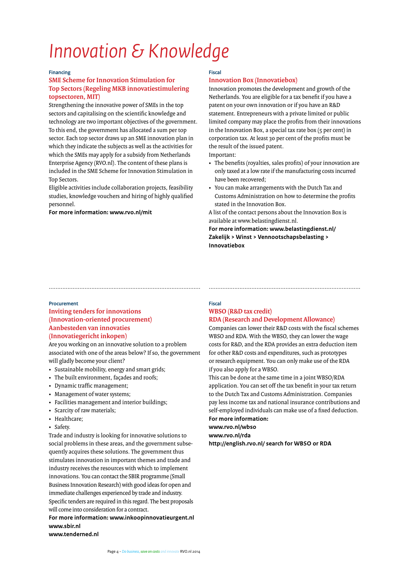## *Innovation & Knowledge*

### **Financing**

### **SME Scheme for Innovation Stimulation for Top Sectors (Regeling MKB innovatiestimulering topsectoren, MIT)**

Strengthening the innovative power of SMEs in the top sectors and capitalising on the scientific knowledge and technology are two important objectives of the government. To this end, the government has allocated a sum per top sector. Each top sector draws up an SME innovation plan in which they indicate the subjects as well as the activities for which the SMEs may apply for a subsidy from Netherlands Enterprise Agency (RVO.nl). The content of these plans is included in the SME Scheme for Innovation Stimulation in Top Sectors.

Eligible activities include collaboration projects, feasibility studies, knowledge vouchers and hiring of highly qualified personnel.

#### **For more information: www.rvo.nl/mit**

### **Fiscal**

### **Innovation Box (Innovatiebox)**

Innovation promotes the development and growth of the Netherlands. You are eligible for a tax benefit if you have a patent on your own innovation or if you have an R&D statement. Entrepreneurs with a private limited or public limited company may place the profits from their innovations in the Innovation Box, a special tax rate box (5 per cent) in corporation tax. At least 30 per cent of the profits must be the result of the issued patent.

Important:

......................................................................................... .........................................................................................

- The benefits (royalties, sales profits) of your innovation are only taxed at a low rate if the manufacturing costs incurred have been recovered;
- You can make arrangements with the Dutch Tax and Customs Administration on how to determine the profits stated in the Innovation Box.
- A list of the contact persons about the Innovation Box is available at www.belastingdienst.nl.

**For more information: www.belastingdienst.nl/ Zakelijk > Winst > Vennootschapsbelasting > Innovatiebox**

### **Procurement**

### **Inviting tenders for innovations (Innovation-oriented procurement) Aanbesteden van innovaties (Innovatiegericht inkopen)**

Are you working on an innovative solution to a problem associated with one of the areas below? If so, the government will gladly become your client?

- Sustainable mobility, energy and smart grids;
- The built environment, façades and roofs;
- Dynamic traffic management;
- Management of water systems;
- Facilities management and interior buildings;
- Scarcity of raw materials;
- Healthcare;
- Safety.

Trade and industry is looking for innovative solutions to social problems in these areas, and the government subsequently acquires these solutions. The government thus stimulates innovation in important themes and trade and industry receives the resources with which to implement innovations. You can contact the SBIR programme (Small Business Innovation Research) with good ideas for open and immediate challenges experienced by trade and industry. Specific tenders are required in this regard. The best proposals will come into consideration for a contract.

### **For more information: www.inkoopinnovatieurgent.nl www.sbir.nl**

**www.tenderned.nl**

### **Fiscal WBSO (R&D tax credit) RDA (Research and Development Allowance)**

Companies can lower their R&D costs with the fiscal schemes WBSO and RDA. With the WBSO, they can lower the wage costs for R&D, and the RDA provides an extra deduction item for other R&D costs and expenditures, such as prototypes or research equipment. You can only make use of the RDA if you also apply for a WBSO.

This can be done at the same time in a joint WBSO/RDA application. You can set off the tax benefit in your tax return to the Dutch Tax and Customs Administration. Companies pay less income tax and national insurance contributions and self-employed individuals can make use of a fixed deduction. **For more information:** 

### **www.rvo.nl/wbso**

**www.rvo.nl/rda** 

**http://english.rvo.nl/ search for WBSO or RDA**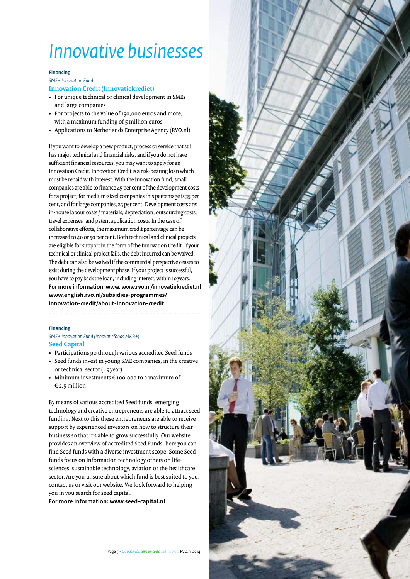### <span id="page-4-0"></span>**Financing**

*SME+ Innovation Fund*

### **Innovation Credit (Innovatiekrediet)**

- For unique technical or clinical development in SMEs and large companies
- For projects to the value of 150,000 euros and more, with a maximum funding of 5 million euros
- Applications to Netherlands Enterprise Agency (RVO.nl)

If you want to develop a new product, process or service that still has major technical and financial risks, and if you do not have sufficient financial resources, you may want to apply for an Innovation Credit. Innovation Credit is a risk-bearing loan which must be repaid with interest. With the innovation fund, small companies are able to finance 45 per cent of the development costs for a project; for medium-sized companies this percentage is 35 per cent, and for large companies, 25 per cent. Development costs are: in-house labour costs / materials, depreciation, outsourcing costs, travel expenses and patent application costs. In the case of collaborative efforts, the maximum credit percentage can be increased to 40 or 50 per cent. Both technical and clinical projects are eligible for support in the form of the Innovation Credit. If your technical or clinical project fails, the debt incurred can be waived. The debt can also be waived if the commercial perspective ceases to exist during the development phase. If your project is successful, you have to pay back the loan, including interest, within 10 years. **For more information: www. www.rvo.nl/innovatiekrediet.nl www.english.rvo.nl/subsidies-programmes/ innovation-credit/about-innovation-credit** .........................................................................................

### **Financing**

### *SME+ Innovation Fund (Innovatiefonds MKB+)* **Seed Capital**

- Participations go through various accredited Seed funds
- Seed funds invest in young SME companies, in the creative or technical sector (>5 year)
- Minimum investments € 100,000 to a maximum of  $\epsilon$  2.5 million

By means of various accredited Seed funds, emerging technology and creative entrepreneurs are able to attract seed funding. Next to this these entrepreneurs are able to receive support by experienced investors on how to structure their business so that it's able to grow successfully. Our website provides an overview of accredited Seed Funds, here you can find Seed funds with a diverse investment scope. Some Seed funds focus on information technology others on lifesciences, sustainable technology, aviation or the healthcare sector. Are you unsure about which fund is best suited to you, contact us or visit our website. We look forward to helping you in you search for seed capital.

**For more information: www.seed-capital.nl**

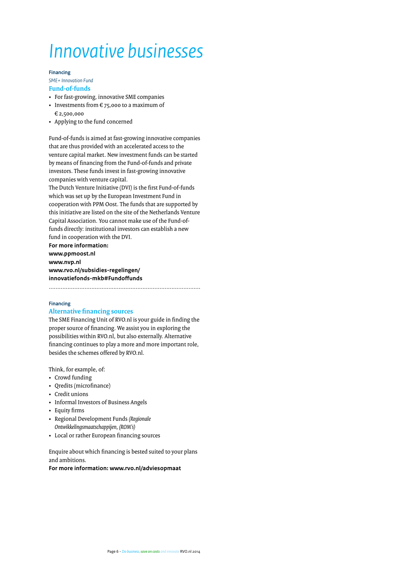#### **Financing**

*SME+ Innovation Fund* **Fund-of-funds**

- For fast-growing, innovative SME companies
- Investments from  $\epsilon$  75,000 to a maximum of € 2,500,000
- Applying to the fund concerned

Fund-of-funds is aimed at fast-growing innovative companies that are thus provided with an accelerated access to the venture capital market. New investment funds can be started by means of financing from the Fund-of-funds and private investors. These funds invest in fast-growing innovative companies with venture capital.

The Dutch Venture Initiative (DVI) is the first Fund-of-funds which was set up by the European Investment Fund in cooperation with PPM Oost. The funds that are supported by this initiative are listed on the site of the Netherlands Venture Capital Association. You cannot make use of the Fund-offunds directly: institutional investors can establish a new fund in cooperation with the DVI.

**For more information: www.ppmoost.nl www.nvp.nl www.rvo.nl/subsidies-regelingen/ innovatiefonds-mkb#Fundoffunds**

.........................................................................................

### **Financing**

### **Alternative financing sources**

The SME Financing Unit of RVO.nl is your guide in finding the proper source of financing. We assist you in exploring the possibilities within RVO.nl, but also externally. Alternative financing continues to play a more and more important role, besides the schemes offered by RVO.nl.

Think, for example, of:

- Crowd funding
- Qredits (microfinance)
- Credit unions
- Informal Investors of Business Angels
- Equity firms
- Regional Development Funds *(Regionale Ontwikkelingsmaatschappijen, (ROM's)*
- Local or rather European financing sources

Enquire about which financing is bested suited to your plans and ambitions.

**For more information: www.rvo.nl/adviesopmaat**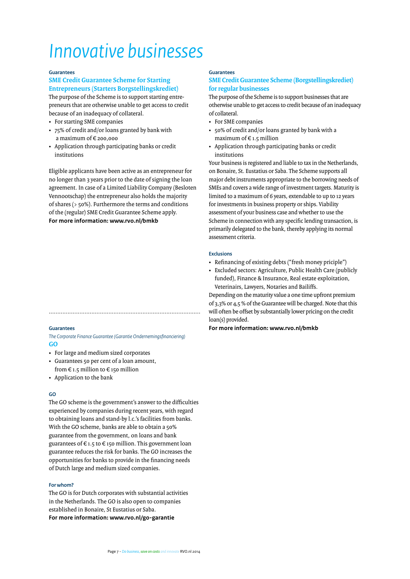### **Guarantees**

### **SME Credit Guarantee Scheme for Starting Entrepreneurs (Starters Borgstellingskrediet)**

The purpose of the Scheme is to support starting entrepreneurs that are otherwise unable to get access to credit because of an inadequacy of collateral.

- For starting SME companies
- 75% of credit and/or loans granted by bank with a maximum of € 200,000
- Application through participating banks or credit institutions

Eligible applicants have been active as an entrepreneur for no longer than 3 years prior to the date of signing the loan agreement. In case of a Limited Liability Company (Besloten Vennootschap) the entrepreneur also holds the majority of shares (> 50%). Furthermore the terms and conditions of the (regular) SME Credit Guarantee Scheme apply. **For more information: www.rvo.nl/bmkb**

### **Guarantees**

### *The Corporate Finance Guarantee (Garantie Ondernemingsfinanciering)* **GO**

.........................................................................................

- For large and medium sized corporates
- Guarantees 50 per cent of a loan amount, from  $\epsilon$  1.5 million to  $\epsilon$  150 million
- Application to the bank

### **GO**

The GO scheme is the government's answer to the difficulties experienced by companies during recent years, with regard to obtaining loans and stand-by l.c.'s facilities from banks. With the GO scheme, banks are able to obtain a 50% guarantee from the government, on loans and bank guarantees of  $\epsilon$  1.5 to  $\epsilon$  150 million. This government loan guarantee reduces the risk for banks. The GO increases the opportunities for banks to provide in the financing needs of Dutch large and medium sized companies.

### **For whom?**

The GO is for Dutch corporates with substantial activities in the Netherlands. The GO is also open to companies established in Bonaire, St Eustatius or Saba. **For more information: www.rvo.nl/go-garantie**

### **Guarantees**

### **SME Credit Guarantee Scheme (Borgstellingskrediet) for regular businesses**

The purpose of the Scheme is to support businesses that are otherwise unable to get access to credit because of an inadequacy of collateral.

- For SME companies
- 50% of credit and/or loans granted by bank with a maximum of  $\epsilon$  1.5 million
- Application through participating banks or credit institutions

Your business is registered and liable to tax in the Netherlands, on Bonaire, St. Eustatius or Saba. The Scheme supports all major debt instruments appropriate to the borrowing needs of SMEs and covers a wide range of investment targets. Maturity is limited to a maximum of 6 years, extendable to up to 12 years for investments in business property or ships. Viability assessment of your business case and whether to use the Scheme in connection with any specific lending transaction, is primarily delegated to the bank, thereby applying its normal assessment criteria.

### **Exclusions**

- Refinancing of existing debts ("fresh money priciple")
- Excluded sectors: Agriculture, Public Health Care (publicly funded), Finance & Insurance, Real estate exploitation, Veterinairs, Lawyers, Notaries and Bailiffs.

Depending on the maturity value a one time upfront premium of 3,3% or 4,5 % of the Guarantee will be charged. Note that this will often be offset by substantially lower pricing on the credit loan(s) provided.

**For more information: www.rvo.nl/bmkb**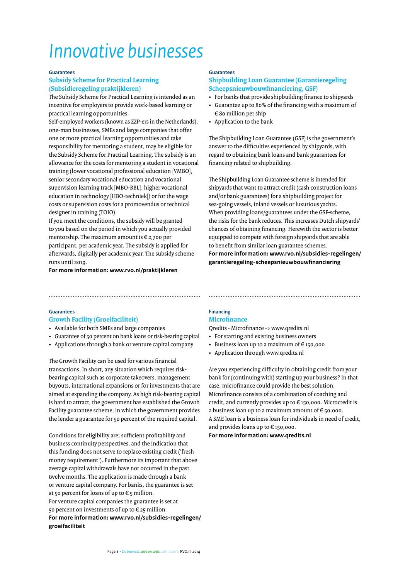### **Guarantees**

### **Subsidy Scheme for Practical Learning (Subsidieregeling praktijkleren)**

The Subsidy Scheme for Practical Learning is intended as an incentive for employers to provide work-based learning or practical learning opportunities.

Self-employed workers (known as ZZP-ers in the Netherlands), one-man businesses, SMEs and large companies that offer one or more practical learning opportunities and take responsibility for mentoring a student, may be eligible for the Subsidy Scheme for Practical Learning. The subsidy is an allowance for the costs for mentoring a student in vocational training (lower vocational professional education [VMBO], senior secondary vocational education and vocational supervision learning track [MBO-BBL], higher vocational education in technology [HBO-techniek]) or for the wage costs or supervision costs for a promovendus or technical designer in training (TOIO).

If you meet the conditions, the subsidy will be granted to you based on the period in which you actually provided mentorship. The maximum amount is € 2,700 per participant, per academic year. The subsidy is applied for afterwards, digitally per academic year. The subsidy scheme runs until 2019.

### **For more information: www.rvo.nl/praktijkleren**

### **Guarantees**

### **Shipbuilding Loan Guarantee (Garantieregeling Scheepsnieuwbouwfinanciering, GSF)**

- For banks that provide shipbuilding finance to shipyards
- Guarantee up to 80% of the financing with a maximum of € 80 million per ship
- Application to the bank

The Shipbuilding Loan Guarantee (GSF) is the government's answer to the difficulties experienced by shipyards, with regard to obtaining bank loans and bank guarantees for financing related to shipbuilding.

The Shipbuilding Loan Guarantee scheme is intended for shipyards that want to attract credit (cash construction loans and/or bank guarantees) for a shipbuilding project for sea-going vessels, inland vessels or luxurious yachts. When providing loans/guarantees under the GSF-scheme, the risks for the bank reduces. This increases Dutch shipyards' chances of obtaining financing. Herewith the sector is better equipped to compete with foreign shipyards that are able to benefit from similar loan guarantee schemes. **For more information: www.rvo.nl/subsidies-regelingen/ garantieregeling-scheepsnieuwbouwfinanciering**

### **Guarantees**

### **Growth Facility (Groeifaciliteit)**

- Available for both SMEs and large companies
- Guarantee of 50 percent on bank loans or risk-bearing capital
- Applications through a bank or venture capital company

The Growth Facility can be used for various financial transactions. In short, any situation which requires riskbearing capital such as corporate takeovers, management buyouts, international expansions or for investments that are aimed at expanding the company. As high risk-bearing capital is hard to attract, the government has established the Growth Facility guarantee scheme, in which the government provides the lender a guarantee for 50 percent of the required capital.

Conditions for eligibility are; sufficient profitability and business continuity perspectives, and the indication that this funding does not serve to replace existing credit ('fresh money requirement'). Furthermore its important that above average capital withdrawals have not occurred in the past twelve months. The application is made through a bank or venture capital company. For banks, the guarantee is set at 50 percent for loans of up to  $\epsilon$  5 million. For venture capital companies the guarantee is set at 50 percent on investments of up to  $\epsilon$  25 million. **For more information: www.rvo.nl/subsidies-regelingen/ groeifaciliteit**

### **Financing Microfinance**

......................................................................................... .........................................................................................

Qredits - Microfinance -> www.qredits.nl

- For starting and existing business owners
- Business loan up to a maximum of  $\epsilon$  150,000
- Application through www.qredits.nl

Are you experiencing difficulty in obtaining credit from your bank for (continuing with) starting up your business? In that case, microfinance could provide the best solution. Microfinance consists of a combination of coaching and credit, and currently provides up to € 150,000. Microcredit is a business loan up to a maximum amount of  $\epsilon$  50,000. A SME loan is a business loan for individuals in need of credit, and provides loans up to € 150,000.

**For more information: www.qredits.nl**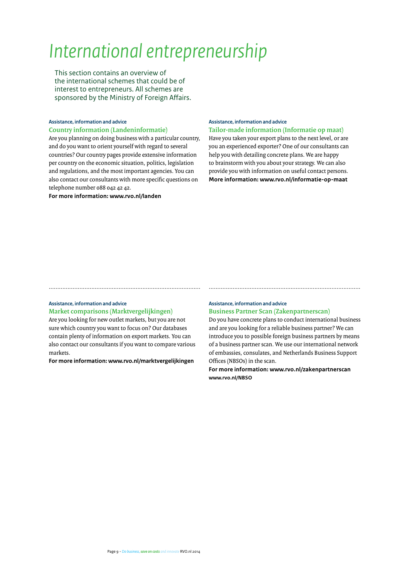<span id="page-8-0"></span>This section contains an overview of the international schemes that could be of interest to entrepreneurs. All schemes are sponsored by the Ministry of Foreign Affairs.

### **Assistance, information and advice Country information (Landeninformatie)**

Are you planning on doing business with a particular country, and do you want to orient yourself with regard to several countries? Our country pages provide extensive information per country on the economic situation, politics, legislation and regulations, and the most important agencies. You can also contact our consultants with more specific questions on telephone number 088 042 42 42.

### **For more information: www.rvo.nl/landen**

#### **Assistance, information and advice**

**Tailor-made information (Informatie op maat)** Have you taken your export plans to the next level, or are you an experienced exporter? One of our consultants can help you with detailing concrete plans. We are happy to brainstorm with you about your strategy. We can also provide you with information on useful contact persons.

**More information: www.rvo.nl/informatie-op-maat** 

### **Assistance, information and advice**

**Market comparisons (Marktvergelijkingen)**

Are you looking for new outlet markets, but you are not sure which country you want to focus on? Our databases contain plenty of information on export markets. You can also contact our consultants if you want to compare various markets.

**For more information: www.rvo.nl/marktvergelijkingen**

### **Assistance, information and advice**

......................................................................................... .........................................................................................

**Business Partner Scan (Zakenpartnerscan)**

Do you have concrete plans to conduct international business and are you looking for a reliable business partner? We can introduce you to possible foreign business partners by means of a business partner scan. We use our international network of embassies, consulates, and Netherlands Business Support Offices (NBSOs) in the scan.

**For more information: www.rvo.nl/zakenpartnerscan www.rvo.nl/NBSO**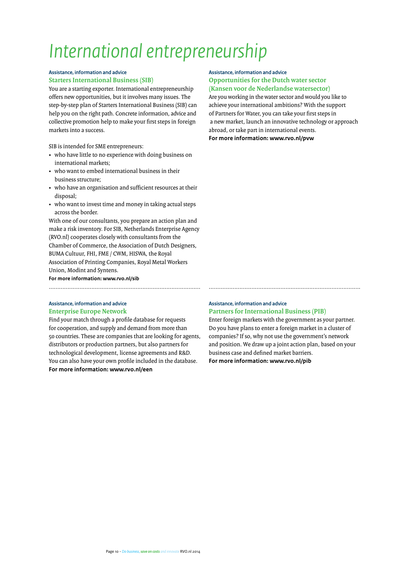### **Assistance, information and advice Starters International Business (SIB)**

You are a starting exporter. International entrepreneurship offers new opportunities, but it involves many issues. The step-by-step plan of Starters International Business (SIB) can help you on the right path. Concrete information, advice and collective promotion help to make your first steps in foreign markets into a success.

SIB is intended for SME entrepreneurs:

- who have little to no experience with doing business on international markets;
- who want to embed international business in their business structure;
- who have an organisation and sufficient resources at their disposal;
- who want to invest time and money in taking actual steps across the border.

With one of our consultants, you prepare an action plan and make a risk inventory. For SIB, Netherlands Enterprise Agency (RVO.nl) cooperates closely with consultants from the Chamber of Commerce, the Association of Dutch Designers, BUMA Cultuur, FHI, FME / CWM, HISWA, the Royal Association of Printing Companies, Royal Metal Workers Union, Modint and Syntens.

**For more information: www.rvo.nl/sib**

### **Assistance, information and advice Enterprise Europe Network**

Find your match through a profile database for requests for cooperation, and supply and demand from more than 50 countries. These are companies that are looking for agents, distributors or production partners, but also partners for technological development, license agreements and R&D. You can also have your own profile included in the database. **For more information: www.rvo.nl/een**

### **Assistance, information and advice Opportunities for the Dutch water sector (Kansen voor de Nederlandse watersector)**

Are you working in the water sector and would you like to achieve your international ambitions? With the support of Partners for Water, you can take your first steps in a new market, launch an innovative technology or approach abroad, or take part in international events. **For more information: www.rvo.nl/pvw**

### **Assistance, information and advice Partners for International Business (PIB)**

......................................................................................... .........................................................................................

Enter foreign markets with the government as your partner. Do you have plans to enter a foreign market in a cluster of companies? If so, why not use the government's network and position. We draw up a joint action plan, based on your business case and defined market barriers. **For more information: www.rvo.nl/pib**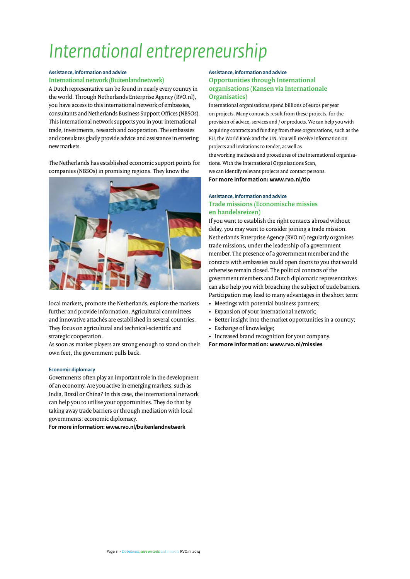### **Assistance, information and advice International network (Buitenlandnetwerk)**

A Dutch representative can be found in nearly every country in the world. Through Netherlands Enterprise Agency (RVO.nl), you have access to this international network of embassies, consultants and Netherlands Business Support Offices (NBSOs). This international network supports you in your international trade, investments, research and cooperation. The embassies and consulates gladly provide advice and assistance in entering new markets.

The Netherlands has established economic support points for companies (NBSOs) in promising regions. They know the



local markets, promote the Netherlands, explore the markets further and provide information. Agricultural committees and innovative attachés are established in several countries. They focus on agricultural and technical-scientific and strategic cooperation.

As soon as market players are strong enough to stand on their own feet, the government pulls back.

### **Economic diplomacy**

Governments often play an important role in the development of an economy. Are you active in emerging markets, such as India, Brazil or China? In this case, the international network can help you to utilise your opportunities. They do that by taking away trade barriers or through mediation with local governments: economic diplomacy.

**For more information: www.rvo.nl/buitenlandnetwerk**

### **Assistance, information and advice Opportunities through International organisations (Kansen via Internationale Organisaties)**

International organisations spend billions of euros per year on projects. Many contracts result from these projects, for the provision of advice, services and / or products. We can help you with acquiring contracts and funding from these organisations, such as the EU, the World Bank and the UN. You will receive information on projects and invitations to tender, as well as the working methods and procedures of the international organisations. With the International Organisations Scan, we can identify relevant projects and contact persons. **For more information: www.rvo.nl/tio**

### **Assistance, information and advice Trade missions (Economische missies en handelsreizen)**

If you want to establish the right contacts abroad without delay, you may want to consider joining a trade mission. Netherlands Enterprise Agency (RVO.nl) regularly organises trade missions, under the leadership of a government member. The presence of a government member and the contacts with embassies could open doors to you that would otherwise remain closed. The political contacts of the government members and Dutch diplomatic representatives can also help you with broaching the subject of trade barriers. Participation may lead to many advantages in the short term:

- Meetings with potential business partners;
- Expansion of your international network;
- Better insight into the market opportunities in a country;
- Exchange of knowledge;
- Increased brand recognition for your company.
- **For more information: www.rvo.nl/missies**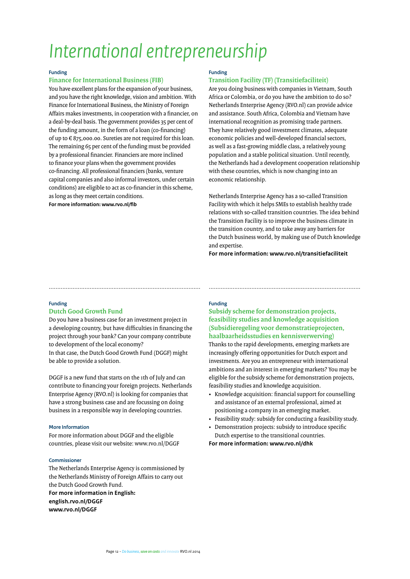### **Funding**

### **Finance for International Business (FIB)**

You have excellent plans for the expansion of your business, and you have the right knowledge, vision and ambition. With Finance for International Business, the Ministry of Foreign Affairs makes investments, in cooperation with a financier, on a deal-by-deal basis. The government provides 35 per cent of the funding amount, in the form of a loan (co-financing) of up to € 875,000.00. Sureties are not required for this loan. The remaining 65 per cent of the funding must be provided by a professional financier. Financiers are more inclined to finance your plans when the government provides co-financing. All professional financiers (banks, venture capital companies and also informal investors, under certain conditions) are eligible to act as co-financier in this scheme, as long as they meet certain conditions.

**For more information: www.rvo.nl/fib**

### **Funding**

### **Transition Facility (TF) (Transitiefaciliteit)**

Are you doing business with companies in Vietnam, South Africa or Colombia, or do you have the ambition to do so? Netherlands Enterprise Agency (RVO.nl) can provide advice and assistance. South Africa, Colombia and Vietnam have international recognition as promising trade partners. They have relatively good investment climates, adequate economic policies and well-developed financial sectors, as well as a fast-growing middle class, a relatively young population and a stable political situation. Until recently, the Netherlands had a development cooperation relationship with these countries, which is now changing into an economic relationship.

Netherlands Enterprise Agency has a so-called Transition Facility with which it helps SMEs to establish healthy trade relations with so-called transition countries. The idea behind the Transition Facility is to improve the business climate in the transition country, and to take away any barriers for the Dutch business world, by making use of Dutch knowledge and expertise.

**For more information: www.rvo.nl/transitiefaciliteit**

#### **Funding**

### **Dutch Good Growth Fund**

Do you have a business case for an investment project in a developing country, but have difficulties in financing the project through your bank? Can your company contribute to development of the local economy?

In that case, the Dutch Good Growth Fund (DGGF) might be able to provide a solution.

DGGF is a new fund that starts on the 1th of July and can contribute to financing your foreign projects. Netherlands Enterprise Agency (RVO.nl) is looking for companies that have a strong business case and are focussing on doing business in a responsible way in developing countries.

#### **More Information**

For more information about DGGF and the eligible countries, please visit our website: www.rvo.nl/DGGF

#### **Commissioner**

The Netherlands Enterprise Agency is commissioned by the Netherlands Ministry of Foreign Affairs to carry out the Dutch Good Growth Fund. **For more information in English: english.rvo.nl/DGGF www.rvo.nl/DGGF**

### **Funding**

......................................................................................... .........................................................................................

### **Subsidy scheme for demonstration projects, feasibility studies and knowledge acquisition (Subsidieregeling voor demonstratieprojecten, haalbaarheidsstudies en kennisverwerving)**

Thanks to the rapid developments, emerging markets are increasingly offering opportunities for Dutch export and investments. Are you an entrepreneur with international ambitions and an interest in emerging markets? You may be eligible for the subsidy scheme for demonstration projects, feasibility studies and knowledge acquisition.

- Knowledge acquisition: financial support for counselling and assistance of an external professional, aimed at positioning a company in an emerging market.
- Feasibility study: subsidy for conducting a feasibility study.
- Demonstration projects: subsidy to introduce specific Dutch expertise to the transitional countries.

**For more information: www.rvo.nl/dhk**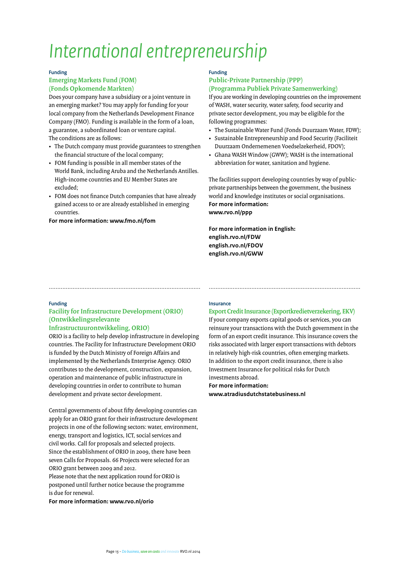### **Funding**

### **Emerging Markets Fund (FOM) (Fonds Opkomende Markten)**

Does your company have a subsidiary or a joint venture in an emerging market? You may apply for funding for your local company from the Netherlands Development Finance Company (FMO). Funding is available in the form of a loan, a guarantee, a subordinated loan or venture capital. The conditions are as follows:

- The Dutch company must provide guarantees to strengthen the financial structure of the local company;
- FOM funding is possible in all member states of the World Bank, including Aruba and the Netherlands Antilles. High-income countries and EU Member States are excluded;
- FOM does not finance Dutch companies that have already gained access to or are already established in emerging countries.

**For more information: www.fmo.nl/fom**

### **Funding**

### **Public-Private Partnership (PPP) (Programma Publiek Private Samenwerking)**

If you are working in developing countries on the improvement of WASH, water security, water safety, food security and private sector development, you may be eligible for the following programmes:

- The Sustainable Water Fund (Fonds Duurzaam Water, FDW);
- Sustainable Entrepreneurship and Food Security (Faciliteit Duurzaam Ondernemenen Voedselzekerheid, FDOV);
- Ghana WASH Window (GWW); WASH is the international abbreviation for water, sanitation and hygiene.

The facilities support developing countries by way of publicprivate partnerships between the government, the business world and knowledge institutes or social organisations. **For more information: www.rvo.nl/ppp**

**For more information in English: english.rvo.nl/FDW english.rvo.nl/FDOV english.rvo.nl/GWW**

### **Funding**

### **Facility for Infrastructure Development (ORIO) (Ontwikkelingsrelevante**

### **Infrastructuurontwikkeling, ORIO)**

ORIO is a facility to help develop infrastructure in developing countries. The Facility for Infrastructure Development ORIO is funded by the Dutch Ministry of Foreign Affairs and implemented by the Netherlands Enterprise Agency. ORIO contributes to the development, construction, expansion, operation and maintenance of public infrastructure in developing countries in order to contribute to human development and private sector development.

Central governments of about fifty developing countries can apply for an ORIO grant for their infrastructure development projects in one of the following sectors: water, environment, energy, transport and logistics, ICT, social services and civil works. Call for proposals and selected projects. Since the establishment of ORIO in 2009, there have been seven Calls for Proposals. 66 Projects were selected for an ORIO grant between 2009 and 2012.

Please note that the next application round for ORIO is postponed until further notice because the programme is due for renewal.

**For more information: www.rvo.nl/orio**

### **Insurance**

......................................................................................... .........................................................................................

### **Export Credit Insurance (Exportkredietverzekering, EKV)**

If your company exports capital goods or services, you can reinsure your transactions with the Dutch government in the form of an export credit insurance. This insurance covers the risks associated with larger export transactions with debtors in relatively high-risk countries, often emerging markets. In addition to the export credit insurance, there is also Investment Insurance for political risks for Dutch investments abroad.

**For more information: www.atradiusdutchstatebusiness.nl**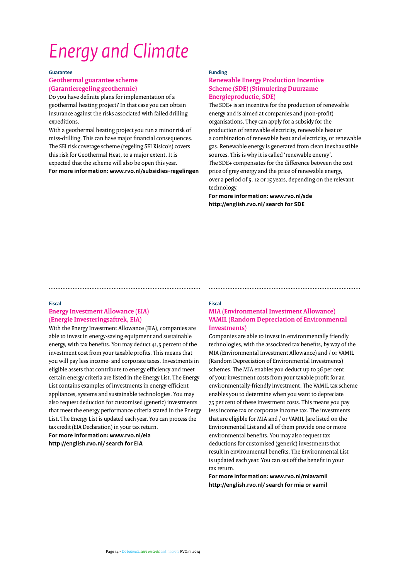# <span id="page-13-0"></span>*Energy and Climate*

**Guarantee**

### **Geothermal guarantee scheme (Garantieregeling geothermie)**

Do you have definite plans for implementation of a geothermal heating project? In that case you can obtain insurance against the risks associated with failed drilling expeditions.

With a geothermal heating project you run a minor risk of miss-drilling. This can have major financial consequences. The SEI risk coverage scheme (regeling SEI Risico's) covers this risk for Geothermal Heat, to a major extent. It is expected that the scheme will also be open this year. **For more information: www.rvo.nl/subsidies-regelingen**

### **Funding**

......................................................................................... .........................................................................................

### **Renewable Energy Production Incentive Scheme (SDE) (Stimulering Duurzame Energieproductie, SDE)**

The SDE+ is an incentive for the production of renewable energy and is aimed at companies and (non-profit) organisations. They can apply for a subsidy for the production of renewable electricity, renewable heat or a combination of renewable heat and electricity, or renewable gas. Renewable energy is generated from clean inexhaustible sources. This is why it is called 'renewable energy'. The SDE+ compensates for the difference between the cost price of grey energy and the price of renewable energy, over a period of 5, 12 or 15 years, depending on the relevant technology.

**For more information: www.rvo.nl/sde http://english.rvo.nl/ search for SDE**

### **Fiscal**

### **Energy Investment Allowance (EIA) (Energie Investeringsaftrek, EIA)**

With the Energy Investment Allowance (EIA), companies are able to invest in energy-saving equipment and sustainable energy, with tax benefits. You may deduct 41,5 percent of the investment cost from your taxable profits. This means that you will pay less income- and corporate taxes. Investments in eligible assets that contribute to energy efficiency and meet certain energy criteria are listed in the Energy List. The Energy List contains examples of investments in energy-efficient appliances, systems and sustainable technologies. You may also request deduction for customised (generic) investments that meet the energy performance criteria stated in the Energy List. The Energy List is updated each year. You can process the tax credit (EIA Declaration) in your tax return. **For more information: www.rvo.nl/eia**

**http://english.rvo.nl/ search for EIA**

### **Fiscal MIA (Environmental Investment Allowance) VAMIL (Random Depreciation of Environmental Investments)**

Companies are able to invest in environmentally friendly technologies, with the associated tax benefits, by way of the MIA (Environmental Investment Allowance) and / or VAMIL (Random Depreciation of Environmental Investments) schemes. The MIA enables you deduct up to 36 per cent of your investment costs from your taxable profit for an environmentally-friendly investment. The VAMIL tax scheme enables you to determine when you want to depreciate 75 per cent of these investment costs. This means you pay less income tax or corporate income tax. The investments that are eligible for MIA and / or VAMIL ]are listed on the Environmental List and all of them provide one or more environmental benefits. You may also request tax deductions for customised (generic) investments that result in environmental benefits. The Environmental List is updated each year. You can set off the benefit in your tax return.

**For more information: www.rvo.nl/miavamil http://english.rvo.nl/ search for mia or vamil**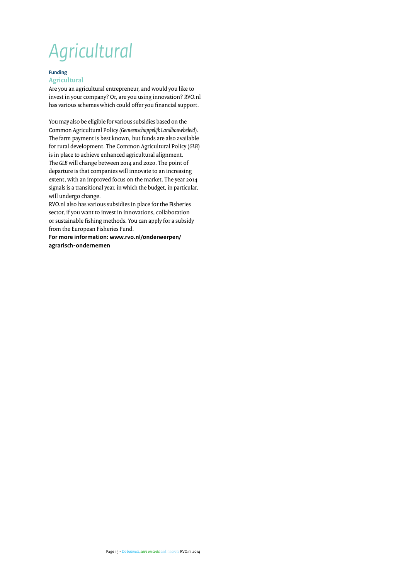# <span id="page-14-0"></span>*Agricultural*

### **Funding**

### **Agricultural**

Are you an agricultural entrepreneur, and would you like to invest in your company? Or, are you using innovation? RVO.nl has various schemes which could offer you financial support.

You may also be eligible for various subsidies based on the Common Agricultural Policy *(Gemeenschappelijk Landbouwbeleid*). The farm payment is best known, but funds are also available for rural development. The Common Agricultural Policy (*GLB*) is in place to achieve enhanced agricultural alignment. The *GLB* will change between 2014 and 2020. The point of departure is that companies will innovate to an increasing extent, with an improved focus on the market. The year 2014 signals is a transitional year, in which the budget, in particular, will undergo change.

RVO.nl also has various subsidies in place for the Fisheries sector, if you want to invest in innovations, collaboration or sustainable fishing methods. You can apply for a subsidy from the European Fisheries Fund.

**For more information: www.rvo.nl/onderwerpen/ agrarisch-ondernemen**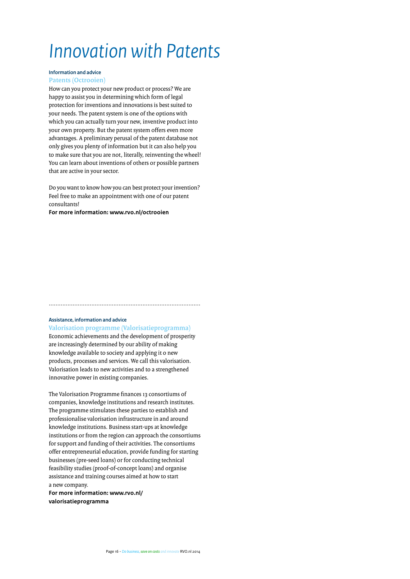## <span id="page-15-0"></span>*Innovation with Patents*

### **Information and advice Patents (Octrooien)**

How can you protect your new product or process? We are happy to assist you in determining which form of legal protection for inventions and innovations is best suited to your needs. The patent system is one of the options with which you can actually turn your new, inventive product into your own property. But the patent system offers even more advantages. A preliminary perusal of the patent database not only gives you plenty of information but it can also help you to make sure that you are not, literally, reinventing the wheel! You can learn about inventions of others or possible partners that are active in your sector.

Do you want to know how you can best protect your invention? Feel free to make an appointment with one of our patent consultants!

**For more information: www.rvo.nl/octrooien** 

#### **Assistance, information and advice**

### **Valorisation programme (Valorisatieprogramma)**

.........................................................................................

Economic achievements and the development of prosperity are increasingly determined by our ability of making knowledge available to society and applying it o new products, processes and services. We call this valorisation. Valorisation leads to new activities and to a strengthened innovative power in existing companies.

The Valorisation Programme finances 13 consortiums of companies, knowledge institutions and research institutes. The programme stimulates these parties to establish and professionalise valorisation infrastructure in and around knowledge institutions. Business start-ups at knowledge institutions or from the region can approach the consortiums for support and funding of their activities. The consortiums offer entrepreneurial education, provide funding for starting businesses (pre-seed loans) or for conducting technical feasibility studies (proof-of-concept loans) and organise assistance and training courses aimed at how to start a new company.

**For more information: www.rvo.nl/ valorisatieprogramma**